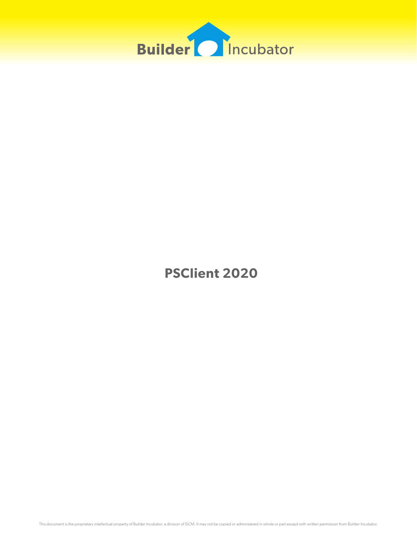

**PSClient 2020**

This document is the proprietary intellectual property of Builder Incubator. a division of ISCM. It may not be copied or administered in whole or part except with written permission from Builder Incubator.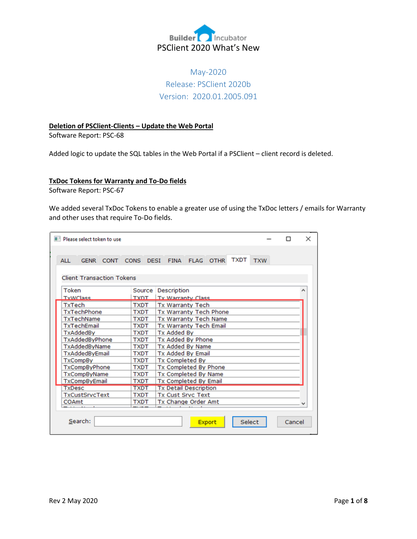

## May-2020 Release: PSClient 2020b Version: 2020.01.2005.091

## **Deletion of PSClient-Clients – Update the Web Portal**

Software Report: PSC-68

Added logic to update the SQL tables in the Web Portal if a PSClient – client record is deleted.

## **TxDoc Tokens for Warranty and To-Do fields**

Software Report: PSC-67

We added several TxDoc Tokens to enable a greater use of using the TxDoc letters / emails for Warranty and other uses that require To-Do fields.

|                       | <b>No. Please select token to use</b> |             |                              |                                                       | $\times$ |  |  |
|-----------------------|---------------------------------------|-------------|------------------------------|-------------------------------------------------------|----------|--|--|
| <b>ALL</b>            | <b>GENR</b>                           | <b>CONT</b> |                              | <b>TXDT</b><br>CONS DESI FINA FLAG OTHR<br><b>TXW</b> |          |  |  |
|                       | <b>Client Transaction Tokens</b>      |             |                              |                                                       |          |  |  |
| Token                 |                                       |             | Source                       | Description                                           |          |  |  |
| TyWClass              |                                       |             | <b>TYDT</b>                  | <b>Ty Warranty Class</b>                              |          |  |  |
| TxTech                |                                       |             | <b>TXDT</b>                  | <b>Tx Warranty Tech</b>                               |          |  |  |
|                       | TxTechPhone                           |             | <b>TXDT</b>                  | Tx Warranty Tech Phone                                |          |  |  |
|                       | TxTechName                            |             | <b>TXDT</b>                  | Tx Warranty Tech Name                                 |          |  |  |
|                       | TxTechEmail                           |             | <b>TXDT</b>                  | Tx Warranty Tech Email                                |          |  |  |
| TxAddedBv             |                                       | <b>TXDT</b> | Tx Added Bv                  |                                                       |          |  |  |
|                       | TxAddedByPhone                        |             | <b>TXDT</b>                  | Tx Added By Phone                                     |          |  |  |
|                       | TxAddedByName                         |             | <b>TXDT</b>                  | Tx Added By Name                                      |          |  |  |
|                       | TxAddedByEmail                        |             | <b>TXDT</b>                  | <b>Tx Added By Email</b>                              |          |  |  |
|                       | <b>TxCompBy</b>                       |             | <b>TXDT</b>                  | <b>Tx Completed By</b>                                |          |  |  |
|                       | <b>TxCompByPhone</b>                  |             | <b>TXDT</b>                  | Tx Completed By Phone                                 |          |  |  |
| <b>TxCompByName</b>   |                                       | <b>TXDT</b> | Tx Completed By Name         |                                                       |          |  |  |
| <b>TxCompByEmail</b>  |                                       | <b>TXDT</b> | Tx Completed By Email        |                                                       |          |  |  |
| <b>TxDesc</b>         |                                       | <b>TXDT</b> | <b>Tx Detail Description</b> |                                                       |          |  |  |
| <b>TxCustSrvcText</b> |                                       | <b>TXDT</b> | <b>Tx Cust Srvc Text</b>     |                                                       |          |  |  |
| COAmt                 |                                       | <b>TXDT</b> | Tx Change Order Amt          |                                                       |          |  |  |
|                       |                                       |             |                              |                                                       |          |  |  |
|                       | Search:                               |             |                              | Select<br>Cancel<br>Export                            |          |  |  |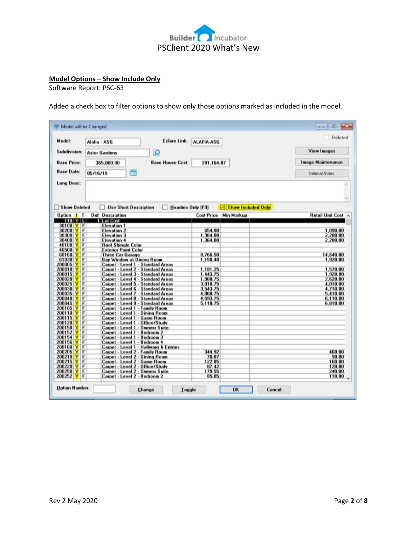

## **Model Options – Show Include Only**

Software Report: PSC-63

Added a check box to filter options to show only those options marked as included in the model.

| Model:                     | Eclare Link:<br>Alafia - ASG                                               | ALAFIA-ASG                                     | Deleted            |
|----------------------------|----------------------------------------------------------------------------|------------------------------------------------|--------------------|
| Subdivision:               | $\Omega$<br><b>Astor Gardens</b>                                           |                                                | <b>View Images</b> |
| <b>Base Price:</b>         | <b>Base House Cost:</b><br>365,000.00                                      | 281, 164.87                                    | Image Maintenance  |
| <b>Base Date:</b>          | m<br>05/16/19                                                              | <b>Internal Notes</b>                          |                    |
| Long Desc:                 |                                                                            |                                                |                    |
| <b>Show Deleted</b>        | <b>Use Short Description</b>                                               | Show Included Only<br><b>Headers Only (F9)</b> |                    |
| Option   T                 | <b>Def</b> Description                                                     | <b>Cost Price</b><br><b>Min Markup</b>         | Retail Unit Cost   |
| 110 Y L                    | 1 Lot Cost                                                                 |                                                |                    |
| 30100<br>F                 | <b>Elevation 1</b>                                                         |                                                |                    |
| 30200<br>F                 | <b>Elevation 2</b>                                                         | 654.00                                         | 1,090.00           |
| F<br>30300                 | <b>Elevation 3</b>                                                         | 1,364.00                                       | 2,280.00           |
| F<br>30400<br>F<br>40100   | <b>Elevation 4</b>                                                         | 1,364.00                                       | 2,280.00           |
| 40500                      | <b>Roof Shingle Color</b><br><b>Exterior Paint Color</b>                   |                                                |                    |
| F<br>60160                 | <b>Three Car Garage</b>                                                    | 8,766.50                                       | 14,640.00          |
| F<br>61030                 | <b>Bay Window at Dining Room</b>                                           | 1,150.48                                       | 1,920.00           |
| F<br>200005                | Carpet - Level 1 - Standard Areas                                          |                                                |                    |
| F<br>200010                | Carpet - Level 2 - Standard Areas                                          | 1,181.25                                       | 1,570.00           |
| F<br>200015                | Carpet - Level 3 - Standard Areas                                          | 1,443.75                                       | 1,920.00           |
| F<br>200020                | Carpet - Level 4 - Standard Areas                                          | 1,968.75                                       | 2,620.00           |
| F<br>200025                | Carpet - Level 5<br><b>Standard Areas</b>                                  | 3,018.75                                       | 4,010.00           |
| 200030<br>F                | Carpet - Level 6 - Standard Areas                                          | 3,543.75                                       | 4,710.00           |
| F<br>200035                | Carpet - Level 7 - Standard Areas                                          | 4,068.75                                       | 5,410.00           |
| Ę<br>200040                | Carpet - Level 8 - Standard Areas                                          | 4,593.75                                       | 6,110.00           |
| 200045                     | Carpet - Level 9 - Standard Areas                                          | 5,118.75                                       | 6,810.00           |
| 200105                     | - Family Room<br>Carpet - Level 1                                          |                                                |                    |
| F<br>200110<br>F<br>200115 | Carpet - Level 1 - Dining Room                                             |                                                |                    |
| F<br>200120                | Carpet - Level 1<br><b>Game Room</b><br>- Office/Study<br>Carpet - Level 1 |                                                |                    |
| F<br>200150                | Carpet - Level 1<br>- Owners Suite                                         |                                                |                    |
| Ë<br>200152                | Carpet - Level 1<br>Bedroom <sub>2</sub>                                   |                                                |                    |
| F<br>200154                | - Bedroom 3<br>Carpet - Level 1                                            |                                                |                    |
| F<br>200156                | Bedroom 4<br>Carpet - Level 1                                              |                                                |                    |
| F<br>200160                | <b>Hallways &amp; Entries</b><br>Carpet - Level 1                          |                                                |                    |
| F<br>200205                | Carpet - Level 2 - Family Room                                             | 344.92                                         | 460.00             |
| F<br>200210                | Carpet - Level 2 - Dining Room                                             | 70.87                                          | 90.00              |
| F<br>200215                | Carpet - Level 2 - Game Room                                               | 122.85                                         | 160.00             |
| F<br>200220                | Carpet - Level 2 - Office/Study                                            | 87.42<br>179.55                                | 120.00<br>240.00   |
|                            | Carpet - Level 2 - Owners Suite                                            |                                                |                    |
| F<br>200250<br>200252<br>F | Carpet - Level 2 - Bedroom 2                                               | 85.05                                          | 110.00             |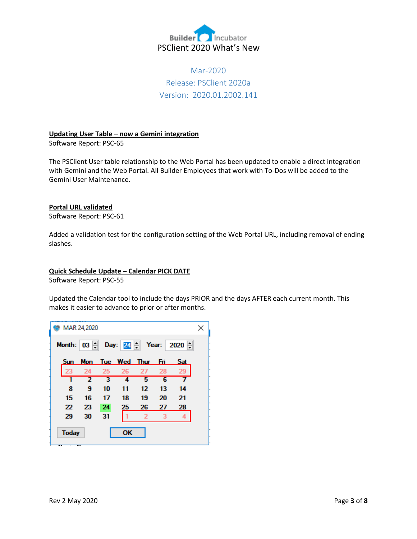

# Mar-2020 Release: PSClient 2020a Version: 2020.01.2002.141

## **Updating User Table – now a Gemini integration**

Software Report: PSC-65

The PSClient User table relationship to the Web Portal has been updated to enable a direct integration with Gemini and the Web Portal. All Builder Employees that work with To-Dos will be added to the Gemini User Maintenance.

## **Portal URL validated**

Software Report: PSC-61

Added a validation test for the configuration setting of the Web Portal URL, including removal of ending slashes.

## **Quick Schedule Update – Calendar PICK DATE**

Software Report: PSC-55

Updated the Calendar tool to include the days PRIOR and the days AFTER each current month. This makes it easier to advance to prior or after months.

|                                    | MAR 24,2020 |    |    |                          |    |     | × |
|------------------------------------|-------------|----|----|--------------------------|----|-----|---|
| Month: 03 - Day: 24 - Year: 2020 - |             |    |    |                          |    |     |   |
|                                    |             |    |    | Sun Mon Tue Wed Thur Fri |    | Sat |   |
| 23                                 | 24          | 25 | 26 | 27                       | 28 | 29  |   |
| 1                                  | 2           | з  | 4  | 5                        | 6  |     |   |
| 8                                  | 9           | 10 | 11 | 12                       | 13 | 14  |   |
| 15                                 | 16          | 17 | 18 | 19                       | 20 | 21  |   |
| 22                                 | 23          | 24 | 25 | 26                       | 27 | 28  |   |
| 29                                 | 30          | 31 |    | 2                        |    |     |   |
| <b>Today</b>                       | . .         |    | OК |                          |    |     |   |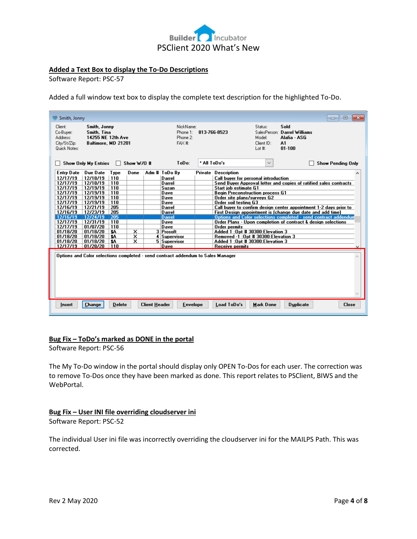

## **Added a Text Box to display the To-Do Descriptions**

Software Report: PSC-57

Added a full window text box to display the complete text description for the highlighted To-Do.

| Smith, Jonny                                                                                                                                                                                          |                                                                                                                                                                                                                                                                                                               |                                                       |                                                                                                                                                                              |              |                                                                                                                                                                                                                                                                                                                                                                                                                                                                             |                                                                          |  | $\overline{\mathbf{x}}$<br>▣<br>$\Box$                                                                                                                                                                         |
|-------------------------------------------------------------------------------------------------------------------------------------------------------------------------------------------------------|---------------------------------------------------------------------------------------------------------------------------------------------------------------------------------------------------------------------------------------------------------------------------------------------------------------|-------------------------------------------------------|------------------------------------------------------------------------------------------------------------------------------------------------------------------------------|--------------|-----------------------------------------------------------------------------------------------------------------------------------------------------------------------------------------------------------------------------------------------------------------------------------------------------------------------------------------------------------------------------------------------------------------------------------------------------------------------------|--------------------------------------------------------------------------|--|----------------------------------------------------------------------------------------------------------------------------------------------------------------------------------------------------------------|
| Client:<br>Co-Buver:<br>Address:<br>City/St/Zip:<br>Quick Notes:                                                                                                                                      | Smith, Jonny<br>Smith, Tina<br>14255 NE 12th Ave<br>Baltimore, MD 21201                                                                                                                                                                                                                                       | NickName:<br>Phone 1:<br>Phone 2:<br>FAX <sup>#</sup> | 813-766-8523                                                                                                                                                                 |              | Status:<br>Model:<br>Client ID:<br>Lot #:                                                                                                                                                                                                                                                                                                                                                                                                                                   | Sold<br>SalesPerson: Darrel Williams<br>Alafia - ASG<br>A1<br>$01 - 100$ |  |                                                                                                                                                                                                                |
|                                                                                                                                                                                                       | <b>Show Only My Entries</b><br>$\perp$                                                                                                                                                                                                                                                                        | Show W/0 #                                            | ToDo:                                                                                                                                                                        | * All ToDo's |                                                                                                                                                                                                                                                                                                                                                                                                                                                                             | $\checkmark$                                                             |  | <b>Show Pending Only</b>                                                                                                                                                                                       |
| <b>Entry Date</b><br>12/17/19<br>12/17/19<br>12/17/19<br>12/17/19<br>12/17/19<br>12/17/19<br>12/16/19<br>12/16/19<br>12/16/19<br>12/17/19<br>12/17/19<br>01/18/20<br>01/18/20<br>01/18/20<br>12/17/19 | Due Date<br>Type<br>12/18/19<br>110<br>12/18/19<br>110<br>12/19/19<br>110<br>12/19/19<br>110<br>12/19/19<br>110<br>12/19/19<br>110<br>12/21/19<br>205<br>12/23/19<br>205<br>12/24/19<br>205<br>12/31/19<br>110<br>01/07/20<br>110<br>01/18/20<br>\$A<br>01/18/20<br>\$A<br>01/18/20<br>\$A<br>01/28/20<br>110 | Done<br>x<br>×<br>$\overline{\mathsf{x}}$             | Adm # ToDo By<br>Darrel<br>Darrel<br>Suzan<br>Dave<br>Dave<br>Dave<br>Darrel<br>Darrel<br><b>Darrel</b><br>Dave<br>Dave<br>3 Prosoft<br>4 Supervisor<br>5 Supervisor<br>Dave | Private      | <b>Description</b><br><b>Call buver for personal introduction</b><br>Start iob estimate G1<br><b>Beain Preconstruction process G1</b><br>Order site plans/surveys G2<br>Order soil testing G3<br>First Design appointment is (change due date and add time)<br>Order Plans - Upon completion of contract & design selections<br>Order permits<br>Added 1:0pt #30300:Elevation 3<br>Removed -1 :0pt # 30300:Elevation 3<br>Added 1:0pt #30300:Elevation 3<br>Receive permits |                                                                          |  | ㅅ<br>Send Buyer Approval letter and copies of ratified sales contracts<br>Call buyer to confirm design center appointment 1-2 days prior to<br>Options and Color selections completed - send contract addendum |
| Insert                                                                                                                                                                                                | Options and Color selections completed - send contract addendum to Sales Manager<br>Change<br><b>Client Header</b><br>Load ToDo's<br><b>Mark Done</b><br><b>Duplicate</b><br><b>Delete</b><br><b>Envelope</b><br><b>Close</b>                                                                                 |                                                       |                                                                                                                                                                              |              |                                                                                                                                                                                                                                                                                                                                                                                                                                                                             |                                                                          |  |                                                                                                                                                                                                                |

### **Bug Fix – ToDo's marked as DONE in the portal**

Software Report: PSC-56

The My To-Do window in the portal should display only OPEN To-Dos for each user. The correction was to remove To-Dos once they have been marked as done. This report relates to PSClient, BIWS and the WebPortal.

#### **Bug Fix – User INI file overriding cloudserver ini**

Software Report: PSC-52

The individual User ini file was incorrectly overriding the cloudserver ini for the MAILPS Path. This was corrected.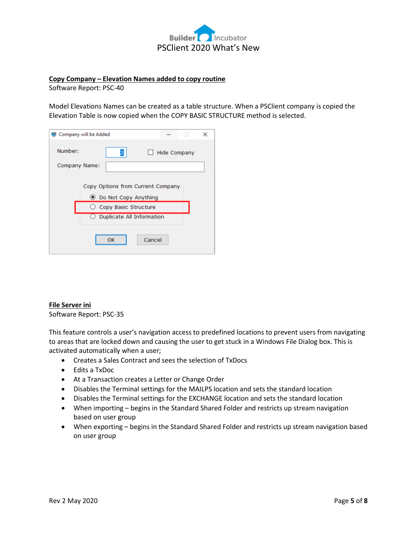

## **Copy Company – Elevation Names added to copy routine**

Software Report: PSC-40

Model Elevations Names can be created as a table structure. When a PSClient company is copied the Elevation Table is now copied when the COPY BASIC STRUCTURE method is selected.

|               | Company will be Added                                                                                                                               |        |                     | × |
|---------------|-----------------------------------------------------------------------------------------------------------------------------------------------------|--------|---------------------|---|
| Number:       | 2                                                                                                                                                   |        | <b>Hide Company</b> |   |
| Company Name: |                                                                                                                                                     |        |                     |   |
|               | Copy Options from Current Company<br><b>●</b> Do Not Copy Anything<br>$\bigcirc$ Copy Basic Structure<br>$\bigcirc$ Duplicate All Information<br>OK | Cancel |                     |   |

### **File Server ini**

Software Report: PSC-35

This feature controls a user's navigation access to predefined locations to prevent users from navigating to areas that are locked down and causing the user to get stuck in a Windows File Dialog box. This is activated automatically when a user;

- Creates a Sales Contract and sees the selection of TxDocs
- Edits a TxDoc
- At a Transaction creates a Letter or Change Order
- Disables the Terminal settings for the MAILPS location and sets the standard location
- Disables the Terminal settings for the EXCHANGE location and sets the standard location
- When importing begins in the Standard Shared Folder and restricts up stream navigation based on user group
- When exporting begins in the Standard Shared Folder and restricts up stream navigation based on user group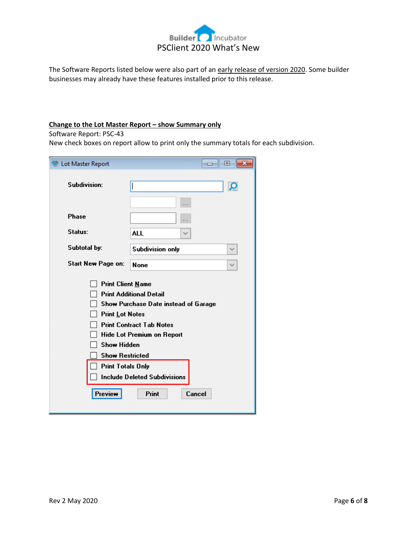

The Software Reports listed below were also part of an early release of version 2020. Some builder businesses may already have these features installed prior to this release.

## **Change to the Lot Master Report - show Summary only**

Software Report: PSC-43

New check boxes on report allow to print only the summary totals for each subdivision.

| Lot Master Report                                                                                                                                                                                                                                                                                                                                            | 回<br><b>PO 11</b>                       |  |  |  |  |  |
|--------------------------------------------------------------------------------------------------------------------------------------------------------------------------------------------------------------------------------------------------------------------------------------------------------------------------------------------------------------|-----------------------------------------|--|--|--|--|--|
| Subdivision:                                                                                                                                                                                                                                                                                                                                                 | Æ                                       |  |  |  |  |  |
| <b>Phase</b>                                                                                                                                                                                                                                                                                                                                                 |                                         |  |  |  |  |  |
| Status:                                                                                                                                                                                                                                                                                                                                                      | ALL                                     |  |  |  |  |  |
| Subtotal by:                                                                                                                                                                                                                                                                                                                                                 | <b>Subdivision only</b><br>$\checkmark$ |  |  |  |  |  |
| Start New Page on:                                                                                                                                                                                                                                                                                                                                           | <b>None</b><br>$\checkmark$             |  |  |  |  |  |
| <b>Print Client Name</b><br><b>Print Additional Detail</b><br>Show Purchase Date instead of Garage<br><b>Print Lot Notes</b><br><b>Print Contract Tab Notes</b><br><b>Hide Lot Premium on Report</b><br><b>Show Hidden</b><br><b>Show Restricted</b><br><b>Print Totals Only</b><br><b>Include Deleted Subdivisions</b><br><b>Print</b><br>Preview<br>Cancel |                                         |  |  |  |  |  |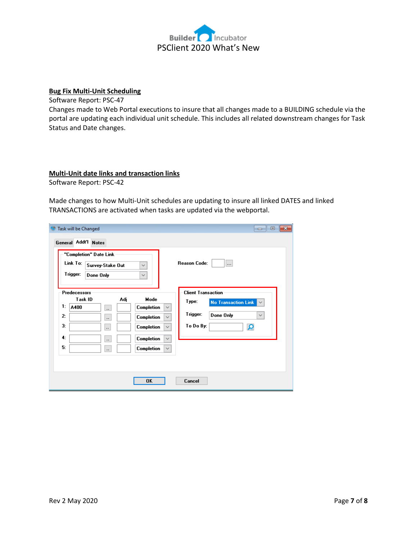

## **Bug Fix Multi-Unit Scheduling**

Software Report: PSC-47

Changes made to Web Portal executions to insure that all changes made to a BUILDING schedule via the portal are updating each individual unit schedule. This includes all related downstream changes for Task Status and Date changes.

#### **Multi-Unit date links and transaction links**

Software Report: PSC-42

Made changes to how Multi-Unit schedules are updating to insure all linked DATES and linked TRANSACTIONS are activated when tasks are updated via the webportal.

| Task will be Changed<br>ы<br><b>General Addt'l Notes</b>                                                                         | $\mathbf{x}$<br>$\Box$<br>- - 1                                                                                                                                                                                                                                                                           |
|----------------------------------------------------------------------------------------------------------------------------------|-----------------------------------------------------------------------------------------------------------------------------------------------------------------------------------------------------------------------------------------------------------------------------------------------------------|
| "Completion" Date Link<br>Link To:<br>Survey-Stake Out<br>$\checkmark$<br>Trigger:<br>Done Only<br>$\checkmark$                  | <b>Reason Code:</b><br>                                                                                                                                                                                                                                                                                   |
| Predecessors<br>Task ID<br>Adj<br>1:<br>A400<br>$\ddotsc$<br>2:<br>$\ldots$<br>3:<br>$\ddotsc$<br>4:<br>$\Box$<br>5:<br>$\ldots$ | <b>Client Transaction</b><br>Mode<br>Type:<br><b>No Transaction Link</b><br>$\checkmark$<br>Completion<br>$\checkmark$<br>Trigger:<br>Done Only<br>$\checkmark$<br>Completion<br>$\checkmark$<br>To Do By:<br>ö<br>Completion<br>$\checkmark$<br>Completion<br>$\checkmark$<br>Completion<br>$\checkmark$ |
|                                                                                                                                  | 0K<br>Cancel                                                                                                                                                                                                                                                                                              |